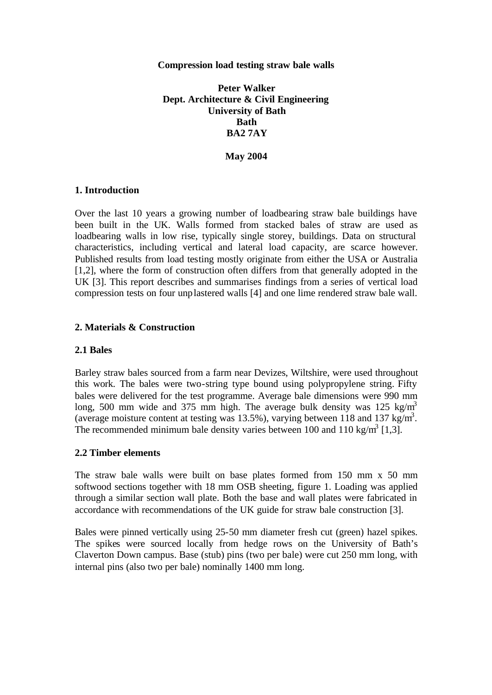#### **Compression load testing straw bale walls**

**Peter Walker Dept. Architecture & Civil Engineering University of Bath Bath BA2 7AY**

**May 2004**

#### **1. Introduction**

Over the last 10 years a growing number of loadbearing straw bale buildings have been built in the UK. Walls formed from stacked bales of straw are used as loadbearing walls in low rise, typically single storey, buildings. Data on structural characteristics, including vertical and lateral load capacity, are scarce however. Published results from load testing mostly originate from either the USA or Australia [1,2], where the form of construction often differs from that generally adopted in the UK [3]. This report describes and summarises findings from a series of vertical load compression tests on four unplastered walls [4] and one lime rendered straw bale wall.

#### **2. Materials & Construction**

#### **2.1 Bales**

Barley straw bales sourced from a farm near Devizes, Wiltshire, were used throughout this work. The bales were two-string type bound using polypropylene string. Fifty bales were delivered for the test programme. Average bale dimensions were 990 mm long, 500 mm wide and 375 mm high. The average bulk density was 125 kg/m<sup>3</sup> (average moisture content at testing was 13.5%), varying between 118 and 137 kg/m<sup>3</sup>. The recommended minimum bale density varies between 100 and 110 kg/m<sup>3</sup> [1,3].

#### **2.2 Timber elements**

The straw bale walls were built on base plates formed from 150 mm x 50 mm softwood sections together with 18 mm OSB sheeting, figure 1. Loading was applied through a similar section wall plate. Both the base and wall plates were fabricated in accordance with recommendations of the UK guide for straw bale construction [3].

Bales were pinned vertically using 25-50 mm diameter fresh cut (green) hazel spikes. The spikes were sourced locally from hedge rows on the University of Bath's Claverton Down campus. Base (stub) pins (two per bale) were cut 250 mm long, with internal pins (also two per bale) nominally 1400 mm long.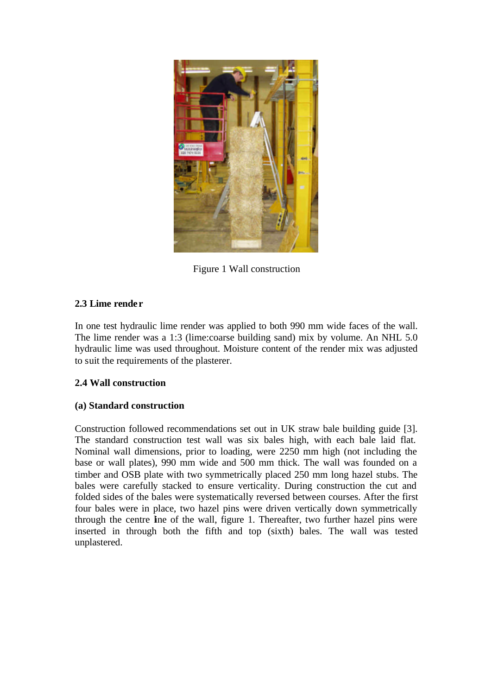

Figure 1 Wall construction

# **2.3 Lime rende r**

In one test hydraulic lime render was applied to both 990 mm wide faces of the wall. The lime render was a 1:3 (lime:coarse building sand) mix by volume. An NHL 5.0 hydraulic lime was used throughout. Moisture content of the render mix was adjusted to suit the requirements of the plasterer.

# **2.4 Wall construction**

# **(a) Standard construction**

Construction followed recommendations set out in UK straw bale building guide [3]. The standard construction test wall was six bales high, with each bale laid flat. Nominal wall dimensions, prior to loading, were 2250 mm high (not including the base or wall plates), 990 mm wide and 500 mm thick. The wall was founded on a timber and OSB plate with two symmetrically placed 250 mm long hazel stubs. The bales were carefully stacked to ensure verticality. During construction the cut and folded sides of the bales were systematically reversed between courses. After the first four bales were in place, two hazel pins were driven vertically down symmetrically through the centre line of the wall, figure 1. Thereafter, two further hazel pins were inserted in through both the fifth and top (sixth) bales. The wall was tested unplastered.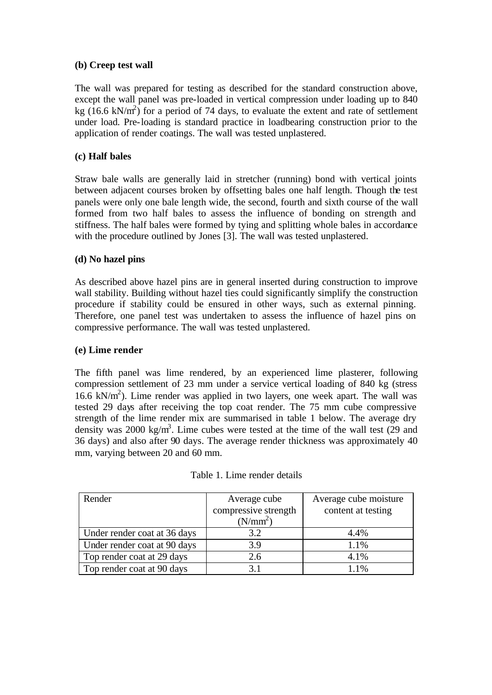### **(b) Creep test wall**

The wall was prepared for testing as described for the standard construction above, except the wall panel was pre-loaded in vertical compression under loading up to 840 kg  $(16.6 \text{ kN/m}^2)$  for a period of 74 days, to evaluate the extent and rate of settlement under load. Pre-loading is standard practice in loadbearing construction prior to the application of render coatings. The wall was tested unplastered.

## **(c) Half bales**

Straw bale walls are generally laid in stretcher (running) bond with vertical joints between adjacent courses broken by offsetting bales one half length. Though the test panels were only one bale length wide, the second, fourth and sixth course of the wall formed from two half bales to assess the influence of bonding on strength and stiffness. The half bales were formed by tying and splitting whole bales in accordance with the procedure outlined by Jones [3]. The wall was tested unplastered.

### **(d) No hazel pins**

As described above hazel pins are in general inserted during construction to improve wall stability. Building without hazel ties could significantly simplify the construction procedure if stability could be ensured in other ways, such as external pinning. Therefore, one panel test was undertaken to assess the influence of hazel pins on compressive performance. The wall was tested unplastered.

### **(e) Lime render**

The fifth panel was lime rendered, by an experienced lime plasterer, following compression settlement of 23 mm under a service vertical loading of 840 kg (stress 16.6 kN/m<sup>2</sup> ). Lime render was applied in two layers, one week apart. The wall was tested 29 days after receiving the top coat render. The 75 mm cube compressive strength of the lime render mix are summarised in table 1 below. The average dry density was 2000 kg/m<sup>3</sup>. Lime cubes were tested at the time of the wall test (29 and 36 days) and also after 90 days. The average render thickness was approximately 40 mm, varying between 20 and 60 mm.

| Render                       | Average cube         | Average cube moisture |
|------------------------------|----------------------|-----------------------|
|                              | compressive strength | content at testing    |
|                              | (N/mm <sup>2</sup> ) |                       |
| Under render coat at 36 days | 3.2                  | 4.4%                  |
| Under render coat at 90 days | 3.9                  | 1.1%                  |
| Top render coat at 29 days   | 2.6                  | 4.1%                  |
| Top render coat at 90 days   |                      | 1.1%                  |

|  |  |  | Table 1. Lime render details |  |
|--|--|--|------------------------------|--|
|--|--|--|------------------------------|--|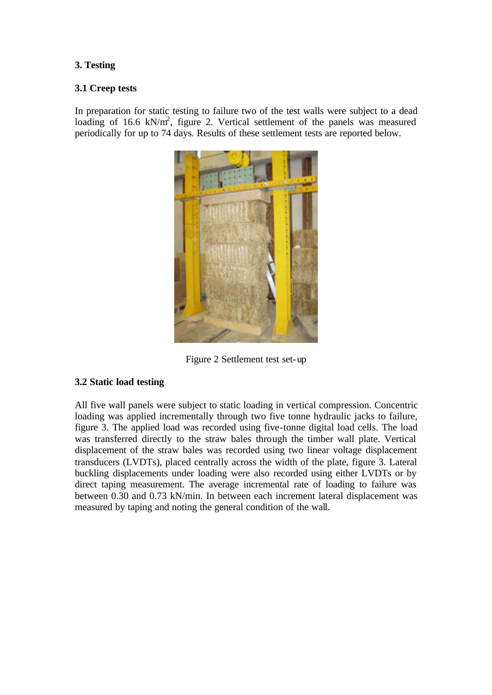## **3. Testing**

### **3.1 Creep tests**

In preparation for static testing to failure two of the test walls were subject to a dead loading of 16.6  $kN/m^2$ , figure 2. Vertical settlement of the panels was measured periodically for up to 74 days. Results of these settlement tests are reported below.



Figure 2 Settlement test set-up

### **3.2 Static load testing**

All five wall panels were subject to static loading in vertical compression. Concentric loading was applied incrementally through two five tonne hydraulic jacks to failure, figure 3. The applied load was recorded using five-tonne digital load cells. The load was transferred directly to the straw bales through the timber wall plate. Vertical displacement of the straw bales was recorded using two linear voltage displacement transducers (LVDTs), placed centrally across the width of the plate, figure 3. Lateral buckling displacements under loading were also recorded using either LVDTs or by direct taping measurement. The average incremental rate of loading to failure was between 0.30 and 0.73 kN/min. In between each increment lateral displacement was measured by taping and noting the general condition of the wall.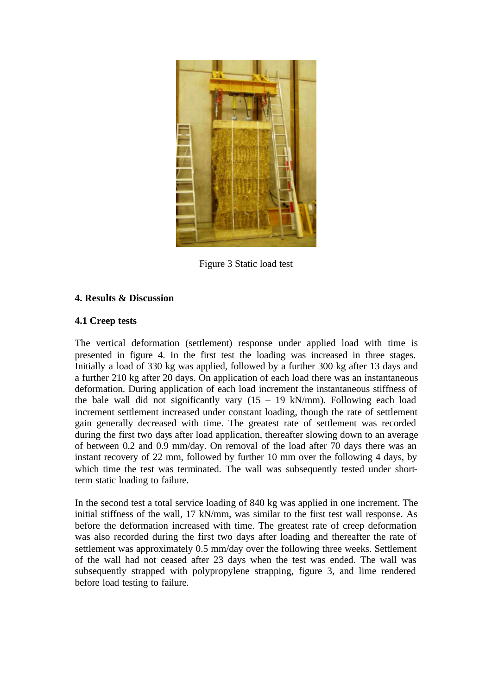

Figure 3 Static load test

# **4. Results & Discussion**

### **4.1 Creep tests**

The vertical deformation (settlement) response under applied load with time is presented in figure 4. In the first test the loading was increased in three stages. Initially a load of 330 kg was applied, followed by a further 300 kg after 13 days and a further 210 kg after 20 days. On application of each load there was an instantaneous deformation. During application of each load increment the instantaneous stiffness of the bale wall did not significantly vary  $(15 - 19 \text{ kN/mm})$ . Following each load increment settlement increased under constant loading, though the rate of settlement gain generally decreased with time. The greatest rate of settlement was recorded during the first two days after load application, thereafter slowing down to an average of between 0.2 and 0.9 mm/day. On removal of the load after 70 days there was an instant recovery of 22 mm, followed by further 10 mm over the following 4 days, by which time the test was terminated. The wall was subsequently tested under shortterm static loading to failure.

In the second test a total service loading of 840 kg was applied in one increment. The initial stiffness of the wall, 17 kN/mm, was similar to the first test wall response. As before the deformation increased with time. The greatest rate of creep deformation was also recorded during the first two days after loading and thereafter the rate of settlement was approximately 0.5 mm/day over the following three weeks. Settlement of the wall had not ceased after 23 days when the test was ended. The wall was subsequently strapped with polypropylene strapping, figure 3, and lime rendered before load testing to failure.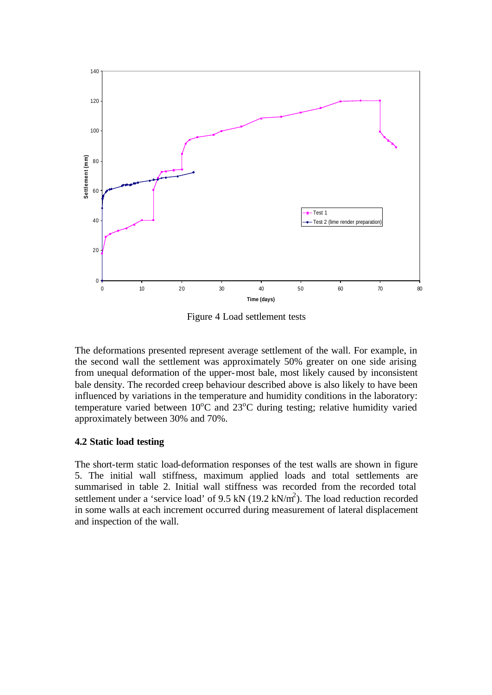

Figure 4 Load settlement tests

The deformations presented represent average settlement of the wall. For example, in the second wall the settlement was approximately 50% greater on one side arising from unequal deformation of the upper-most bale, most likely caused by inconsistent bale density. The recorded creep behaviour described above is also likely to have been influenced by variations in the temperature and humidity conditions in the laboratory: temperature varied between  $10^{\circ}$ C and  $23^{\circ}$ C during testing; relative humidity varied approximately between 30% and 70%.

### **4.2 Static load testing**

The short-term static load-deformation responses of the test walls are shown in figure 5. The initial wall stiffness, maximum applied loads and total settlements are summarised in table 2. Initial wall stiffness was recorded from the recorded total settlement under a 'service load' of 9.5 kN  $(19.2 \text{ kN/m}^2)$ . The load reduction recorded in some walls at each increment occurred during measurement of lateral displacement and inspection of the wall.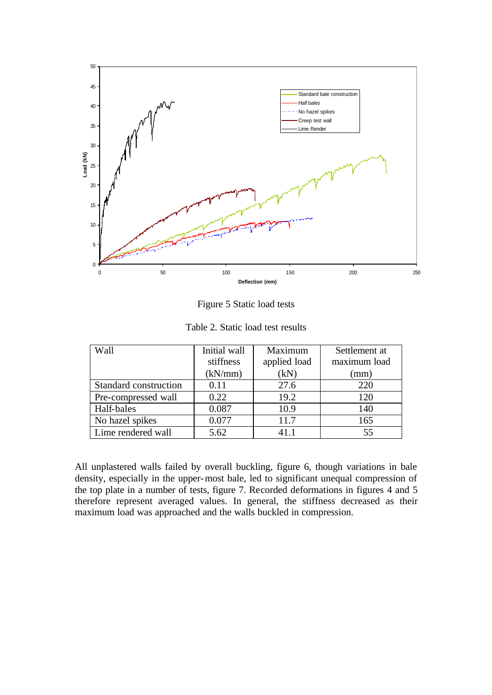

Figure 5 Static load tests

| Table 2. Static load test results |  |
|-----------------------------------|--|
|-----------------------------------|--|

| Wall                  | Initial wall | Maximum      | Settlement at |
|-----------------------|--------------|--------------|---------------|
|                       | stiffness    | applied load | maximum load  |
|                       | (kN/mm)      | (kN)         | (mm)          |
| Standard construction | 0.11         | 27.6         | 220           |
| Pre-compressed wall   | 0.22         | 19.2         | 120           |
| Half-bales            | 0.087        | 10.9         | 140           |
| No hazel spikes       | 0.077        | 11.7         | 165           |
| Lime rendered wall    | 5.62         | 41.1         | 55            |

All unplastered walls failed by overall buckling, figure 6, though variations in bale density, especially in the upper-most bale, led to significant unequal compression of the top plate in a number of tests, figure 7. Recorded deformations in figures 4 and 5 therefore represent averaged values. In general, the stiffness decreased as their maximum load was approached and the walls buckled in compression.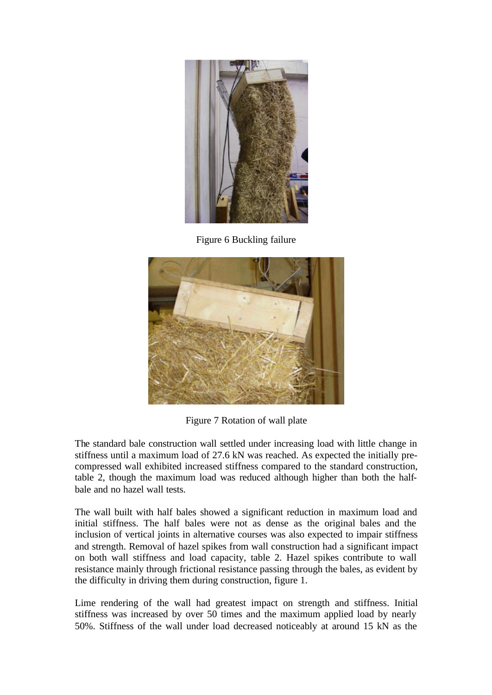

Figure 6 Buckling failure



Figure 7 Rotation of wall plate

The standard bale construction wall settled under increasing load with little change in stiffness until a maximum load of 27.6 kN was reached. As expected the initially precompressed wall exhibited increased stiffness compared to the standard construction, table 2, though the maximum load was reduced although higher than both the halfbale and no hazel wall tests.

The wall built with half bales showed a significant reduction in maximum load and initial stiffness. The half bales were not as dense as the original bales and the inclusion of vertical joints in alternative courses was also expected to impair stiffness and strength. Removal of hazel spikes from wall construction had a significant impact on both wall stiffness and load capacity, table 2. Hazel spikes contribute to wall resistance mainly through frictional resistance passing through the bales, as evident by the difficulty in driving them during construction, figure 1.

Lime rendering of the wall had greatest impact on strength and stiffness. Initial stiffness was increased by over 50 times and the maximum applied load by nearly 50%. Stiffness of the wall under load decreased noticeably at around 15 kN as the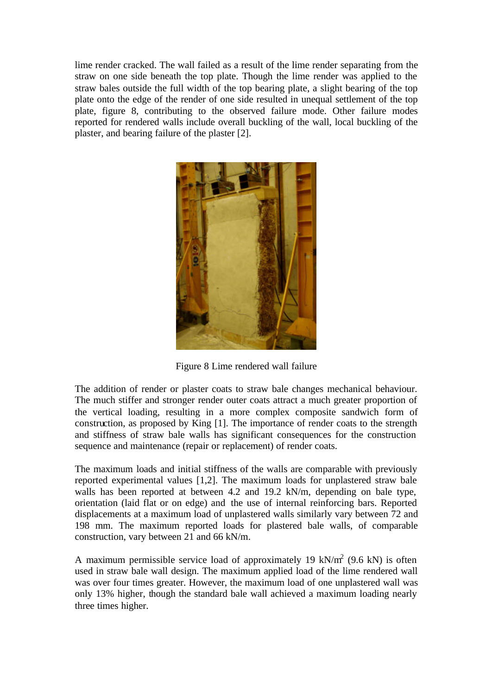lime render cracked. The wall failed as a result of the lime render separating from the straw on one side beneath the top plate. Though the lime render was applied to the straw bales outside the full width of the top bearing plate, a slight bearing of the top plate onto the edge of the render of one side resulted in unequal settlement of the top plate, figure 8, contributing to the observed failure mode. Other failure modes reported for rendered walls include overall buckling of the wall, local buckling of the plaster, and bearing failure of the plaster [2].



Figure 8 Lime rendered wall failure

The addition of render or plaster coats to straw bale changes mechanical behaviour. The much stiffer and stronger render outer coats attract a much greater proportion of the vertical loading, resulting in a more complex composite sandwich form of construction, as proposed by King [1]. The importance of render coats to the strength and stiffness of straw bale walls has significant consequences for the construction sequence and maintenance (repair or replacement) of render coats.

The maximum loads and initial stiffness of the walls are comparable with previously reported experimental values [1,2]. The maximum loads for unplastered straw bale walls has been reported at between 4.2 and 19.2 kN/m, depending on bale type, orientation (laid flat or on edge) and the use of internal reinforcing bars. Reported displacements at a maximum load of unplastered walls similarly vary between 72 and 198 mm. The maximum reported loads for plastered bale walls, of comparable construction, vary between 21 and 66 kN/m.

A maximum permissible service load of approximately 19 kN/ $m^2$  (9.6 kN) is often used in straw bale wall design. The maximum applied load of the lime rendered wall was over four times greater. However, the maximum load of one unplastered wall was only 13% higher, though the standard bale wall achieved a maximum loading nearly three times higher.